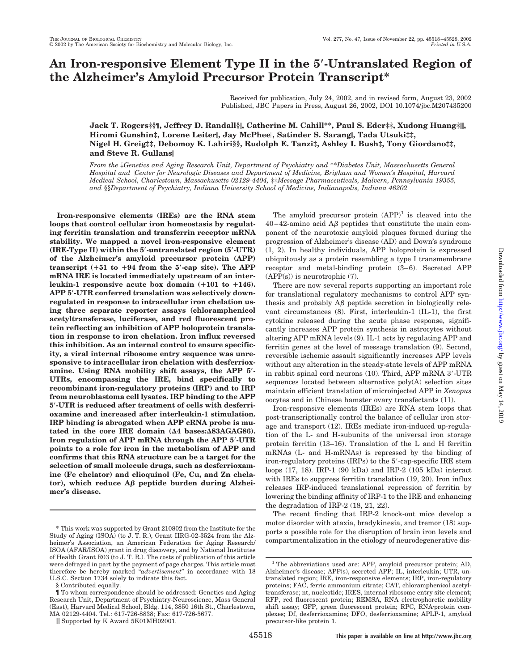# **An Iron-responsive Element Type II in the 5-Untranslated Region of the Alzheimer's Amyloid Precursor Protein Transcript\***

Received for publication, July 24, 2002, and in revised form, August 23, 2002 Published, JBC Papers in Press, August 26, 2002, DOI 10.1074/jbc.M207435200

**Jack T. Rogers‡§¶, Jeffrey D. Randall§, Catherine M. Cahill\*\*, Paul S. Eder‡‡, Xudong Huang‡, Hiromi Gunshin‡, Lorene Leiter, Jay McPhee, Satinder S. Sarang, Tada Utsuki‡‡, Nigel H. Greig‡‡, Debomoy K. Lahiri§§, Rudolph E. Tanzi‡, Ashley I. Bush‡, Tony Giordano‡‡, and Steve R. Gullans**

*From the* ‡*Genetics and Aging Research Unit, Department of Psychiatry and* \*\**Diabetes Unit, Massachusetts General Hospital and Center for Neurologic Diseases and Department of Medicine, Brigham and Women's Hospital, Harvard Medical School, Charlestown, Massachusetts 02129-4404,* ‡‡*Message Pharmaceuticals, Malvern, Pennsylvania 19355, and* §§*Department of Psychiatry, Indiana University School of Medicine, Indianapolis, Indiana 46202*

**Iron-responsive elements (IREs) are the RNA stem loops that control cellular iron homeostasis by regulating ferritin translation and transferrin receptor mRNA stability. We mapped a novel iron-responsive element (IRE-Type II) within the 5-untranslated region (5-UTR) of the Alzheimer's amyloid precursor protein (APP) transcript (51 to 94 from the 5-cap site). The APP mRNA IRE is located immediately upstream of an interleukin-1 responsive acute box domain (101 to 146). APP 5-UTR conferred translation was selectively downregulated in response to intracellular iron chelation using three separate reporter assays (chloramphenicol acetyltransferase, luciferase, and red fluorescent protein reflecting an inhibition of APP holoprotein translation in response to iron chelation. Iron influx reversed this inhibition. As an internal control to ensure specificity, a viral internal ribosome entry sequence was unresponsive to intracellular iron chelation with desferrioxamine. Using RNA mobility shift assays, the APP 5- UTRs, encompassing the IRE, bind specifically to recombinant iron-regulatory proteins (IRP) and to IRP from neuroblastoma cell lysates. IRP binding to the APP 5-UTR is reduced after treatment of cells with desferrioxamine and increased after interleukin-1 stimulation. IRP binding is abrogated when APP cRNA probe is mu**tated in the core IRE domain ( $\Delta 4$  bases: $\Delta 83AGAG686$ ). **Iron regulation of APP mRNA through the APP 5-UTR points to a role for iron in the metabolism of APP and confirms that this RNA structure can be a target for the selection of small molecule drugs, such as desferrioxamine (Fe chelator) and clioquinol (Fe, Cu, and Zn chela**tor), which reduce Aβ peptide burden during Alzhei**mer's disease.**

§ Contributed equally.

The amyloid precursor protein  $(APP)^1$  is cleaved into the  $40-42$ -amino acid A $\beta$  peptides that constitute the main component of the neurotoxic amyloid plaques formed during the progression of Alzheimer's disease (AD) and Down's syndrome (1, 2). In healthy individuals, APP holoprotein is expressed ubiquitously as a protein resembling a type I transmembrane receptor and metal-binding protein (3–6). Secreted APP (APP(s)) is neurotrophic (7).

There are now several reports supporting an important role for translational regulatory mechanisms to control APP synthesis and probably  $\mathbf{A}\boldsymbol{\beta}$  peptide secretion in biologically relevant circumstances (8). First, interleukin-1 (IL-1), the first cytokine released during the acute phase response, significantly increases APP protein synthesis in astrocytes without altering APP mRNA levels (9). IL-1 acts by regulating APP and ferritin genes at the level of message translation (9). Second, reversible ischemic assault significantly increases APP levels without any alteration in the steady-state levels of APP mRNA in rabbit spinal cord neurons (10). Third, APP mRNA 3-UTR sequences located between alternative poly(A) selection sites maintain efficient translation of microinjected APP in *Xenopus* oocytes and in Chinese hamster ovary transfectants (11).

Iron-responsive elements (IREs) are RNA stem loops that post-transcriptionally control the balance of cellular iron storage and transport (12). IREs mediate iron-induced up-regulation of the L- and H-subunits of the universal iron storage protein ferritin (13–16). Translation of the L and H ferritin mRNAs (L- and H-mRNAs) is repressed by the binding of iron-regulatory proteins (IRPs) to the 5'-cap-specific IRE stem loops (17, 18). IRP-1 (90 kDa) and IRP-2 (105 kDa) interact with IREs to suppress ferritin translation  $(19, 20)$ . Iron influx releases IRP-induced translational repression of ferritin by lowering the binding affinity of IRP-1 to the IRE and enhancing the degradation of IRP-2 (18, 21, 22).

The recent finding that IRP-2 knock-out mice develop a motor disorder with ataxia, bradykinesia, and tremor (18) supports a possible role for the disruption of brain iron levels and compartmentalization in the etiology of neurodegenerative dis-

<sup>\*</sup> This work was supported by Grant 210802 from the Institute for the Study of Aging (ISOA) (to J. T. R.), Grant IIRG-02-3524 from the Alzheimer's Association, an American Federation for Aging Research/ ISOA (AFAR/ISOA) grant in drug discovery, and by National Institutes of Health Grant R03 (to J. T. R.). The costs of publication of this article were defrayed in part by the payment of page charges. This article must therefore be hereby marked "*advertisement*" in accordance with 18 U.S.C. Section 1734 solely to indicate this fact.

<sup>¶</sup> To whom correspondence should be addressed: Genetics and Aging Research Unit, Department of Psychiatry-Neuroscience, Mass General (East), Harvard Medical School, Bldg. 114, 3850 16th St., Charlestown, MA 02129-4404. Tel.: 617-726-8838; Fax: 617-726-5677.

Supported by K Award 5K01MH02001.

<sup>&</sup>lt;sup>1</sup> The abbreviations used are: APP, amyloid precursor protein; AD, Alzheimer's disease; APP(s), secreted APP; IL, interleukin; UTR, untranslated region; IRE, iron-responsive elements; IRP, iron-regulatory proteins; FAC, ferric ammonium citrate; CAT, chloramphenicol acetyltransferase; nt, nucleotide; IRES, internal ribosome entry site element; RFP, red fluorescent protein; REMSA, RNA electrophoretic mobility shift assay; GFP, green fluorescent protein; RPC, RNA-protein complexes; Df, desferrioxamine; DFO, desferrioxamine; APLP-1, amyloid precursor-like protein 1.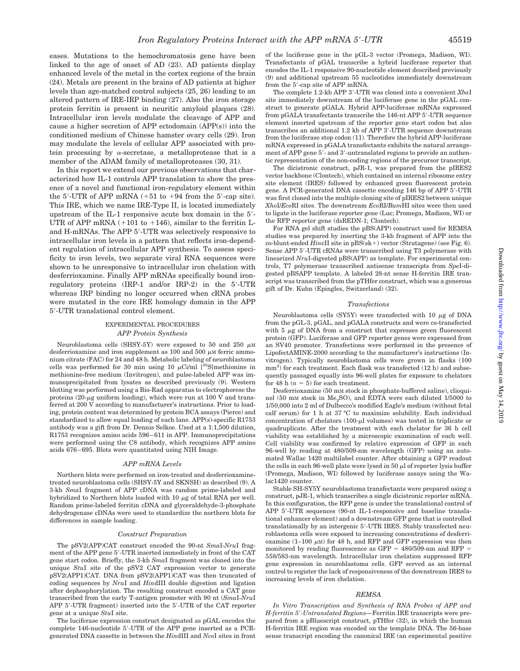eases. Mutations to the hemochromatosis gene have been linked to the age of onset of AD (23). AD patients display enhanced levels of the metal in the cortex regions of the brain (24). Metals are present in the brains of AD patients at higher levels than age-matched control subjects (25, 26) leading to an altered pattern of IRE-IRP binding (27). Also the iron storage protein ferritin is present in neuritic amyloid plaques (28). Intracellular iron levels modulate the cleavage of APP and cause a higher secretion of APP ectodomain (APP(s)) into the conditioned medium of Chinese hamster ovary cells (29). Iron may modulate the levels of cellular APP associated with protein processing by  $\alpha$ -secretase, a metalloprotease that is a member of the ADAM family of metalloproteases (30, 31).

In this report we extend our previous observations that characterized how IL-1 controls APP translation to show the presence of a novel and functional iron-regulatory element within the  $5'$ -UTR of APP mRNA  $(+51$  to  $+94$  from the  $5'$ -cap site). This IRE, which we name IRE-Type II, is located immediately upstream of the IL-1 responsive acute box domain in the 5- UTR of APP mRNA  $(+101$  to  $+146)$ , similar to the ferritin Land H-mRNAs. The APP 5-UTR was selectively responsive to intracellular iron levels in a pattern that reflects iron-dependent regulation of intracellular APP synthesis. To assess specificity to iron levels, two separate viral RNA sequences were shown to be unresponsive to intracellular iron chelation with desferrioxamine. Finally APP mRNAs specifically bound ironregulatory proteins (IRP-1 and/or IRP-2) in the 5-UTR whereas IRP binding no longer occurred when cRNA probes were mutated in the core IRE homology domain in the APP 5-UTR translational control element.

# EXPERIMENTAL PROCEDURES *APP Protein Synthesis*

Neuroblastoma cells (SHSY-5Y) were exposed to 50 and 250  $\mu$ M desferrioxamine and iron supplement as 100 and 500  $\mu$ M ferric ammonium citrate (FAC) for 24 and 48 h. Metabolic labeling of neuroblastoma cells was performed for 30 min using 10  $\mu$ Ci/ml [<sup>35</sup>S]methionine in methionine-free medium (Invitrogen), and pulse-labeled APP was immunoprecipitated from lysates as described previously (9). Western blotting was performed using a Bio-Rad apparatus to electrophorese the proteins  $(20 - \mu g)$  uniform loading), which were run at 100 V and transferred at 200 V according to manufacturer's instructions. Prior to loading, protein content was determined by protein BCA assays (Pierce) and standardized to allow equal loading of each lane. APP(s)-specific R1753 antibody was a gift from Dr. Dennis Selkoe. Used at a 1:1,500 dilution, R1753 recognizes amino acids 596–611 in APP. Immunoprecipitations were performed using the C8 antibody, which recognizes APP amino acids 676–695. Blots were quantitated using NIH Image.

### *APP mRNA Levels*

Northern blots were performed on iron-treated and desferrioxaminetreated neuroblastoma cells (SHSY-5Y and SKNSH) as described (9). A 3-kb *Sma*I fragment of APP cDNA was random prime-labeled and hybridized to Northern blots loaded with 10  $\mu{\rm g}$  of total RNA per well. Random prime-labeled ferritin cDNA and glyceraldehyde-3-phosphate dehydrogenase cDNAs were used to standardize the northern blots for differences in sample loading.

#### *Construct Preparation*

The pSV2(APP)CAT construct encoded the 90-nt *Sma*I-*Nru*I fragment of the APP gene 5-UTR inserted immediately in front of the CAT gene start codon. Briefly, the 3-kb *Sma*I fragment was cloned into the unique *Stu*I site of the pSV2 CAT expression vector to generate pSV2(APP1)CAT. DNA from pSV2(APP1)CAT was then truncated of coding sequences by *Nru*I and *Hin*dIII double digestion and ligation after dephosphorylation. The resulting construct encoded a CAT gene transcribed from the early T-antigen promoter with 90 nt (*Sma*I-*Nru*I APP 5-UTR fragment) inserted into the 5-UTR of the CAT reporter gene at a unique *Stu*I site.

The luciferase expression construct designated as pGAL encodes the complete 146-nucleotide 5-UTR of the APP gene inserted as a PCRgenerated DNA cassette in between the *Hin*dIII and *Nco*I sites in front of the luciferase gene in the pGL-3 vector (Promega, Madison, WI). Transfectants of pGAL transcribe a hybrid luciferase reporter that encodes the IL-1 responsive 90-nucleotide element described previously (9) and additional upstream 55 nucleotides immediately downstream from the 5-cap site of APP mRNA.

The complete 1.2-kb APP 3-UTR was cloned into a convenient *Xba*I site immediately downstream of the luciferase gene in the pGAL construct to generate pGALA. Hybrid APP-luciferase mRNAs expressed from pGALA transfectants transcribe the 146-nt APP 5-UTR sequence element inserted upstream of the reporter gene start codon but also transcribes an additional 1.2 kb of APP 3-UTR sequence downstream from the luciferase stop codon (11). Therefore the hybrid APP-luciferase mRNA expressed in pGALA transfectants exhibits the natural arrangement of APP gene 5'- and 3'-untranslated regions to provide an authentic representation of the non-coding regions of the precursor transcript.

The dicistronic construct, pJR-1, was prepared from the pIRES2 vector backbone (Clontech), which contained an internal ribosome entry site element (IRES) followed by enhanced green fluorescent protein gene. A PCR-generated DNA cassette encoding 146 bp of APP 5-UTR was first cloned into the multiple cloning site of pIRES2 between unique *Xho*I/*Eco*RI sites. The downstream *Eco*RI/*Bam*HI sites were then used to ligate in the luciferase reporter gene (Luc; Promega, Madison, WI) or the RFP reporter gene (dsREDN-1; Clontech).

For RNA gel shift studies the pBS(APP) construct used for REMSA studies was prepared by inserting the 3-kb fragment of APP into the co-blunt-ended *Hin*cII site in pBS(sk-) vector (Stratagene) (see Fig. 6). Sense APP 5'-UTR cRNAs were transcribed using T3 polymerase with linearized *Nru*I-digested pBS(APP) as template. For experimental controls, T7 polymerase transcribed antisense transcripts from *Spe*I-digested pBSAPP template. A labeled 28-nt sense H-ferritin IRE transcript was transcribed from the pTHfer construct, which was a generous gift of Dr. Kuhn (Epingles, Switzerland) (32).

#### *Transfections*

Neuroblastoma cells (SY5Y) were transfected with 10  $\mu$ g of DNA from the pGL-3, pGAL, and pGALA constructs and were co-transfected with  $5 \mu$ g of DNA from a construct that expresses green fluorescent protein (GFP). Luciferase and GFP reporter genes were expressed from an SV40 promoter. Transfections were performed in the presence of LipofectAMINE-2000 according to the manufacturer's instructions (Invitrogen). Typically neuroblastoma cells were grown in flasks (100 mm<sup>2</sup>) for each treatment. Each flask was transfected (12 h) and subsequently passaged equally into 96-well plates for exposure to chelators for 48 h  $(n = 5)$  for each treatment.

Desferrioxamine (50 mM stock in phosphate-buffered saline), clioquinol (50 mM stock in  $Me<sub>2</sub>SO$ ), and EDTA were each diluted 1/5000 to 1/50,000 into 2 ml of Dulbecco's modified Eagle's medium (without fetal calf serum) for 1 h at 37 °C to maximize solubility. Each individual concentration of chelators  $(100-\mu l)$  volumes) was tested in triplicate or quadruplicate. After the treatment with each chelator for 36 h cell viability was established by a microscopic examination of each well. Cell viability was confirmed by relative expression of GFP in each 96-well by reading at 480/509-nm wavelength (GFP) using an automated Wallac 1420 multilabel counter. After obtaining a GFP readout the cells in each 96-well plate were lysed in 50  $\mu$ l of reporter lysis buffer (Promega, Madison, WI) followed by luciferase assays using the Walac1420 counter.

Stable SH-SY5Y neuroblastoma transfectants were prepared using a construct, pJR-1, which transcribes a single dicistronic reporter mRNA. In this configuration, the RFP gene is under the translational control of APP 5'-UTR sequences (90-nt IL-1-responsive and baseline translational enhancer element) and a downstream GFP gene that is controlled translationally by an intergenic 5-UTR IRES. Stably transfected neuroblastoma cells were exposed to increasing concentrations of desferrioxamine (1–100  $\mu$ M) for 48 h, and RFP and GFP expression was then monitored by reading fluorescence as GFP  $=$  480/509-nm and RFP  $=$ 558/583-nm wavelength. Intracellular iron chelation suppressed RFP gene expression in neuroblastoma cells. GFP served as an internal control to register the lack of responsiveness of the downstream IRES to increasing levels of iron chelation.

#### *REMSA*

*In Vitro Transcription and Synthesis of RNA Probes of APP and H-ferritin 5-Untranslated Regions—*Ferritin IRE transcripts were prepared from a pBluescript construct, pTHfer (32), in which the human H-ferritin IRE region was encoded on the template DNA. The 56-base sense transcript encoding the canonical IRE (an experimental positive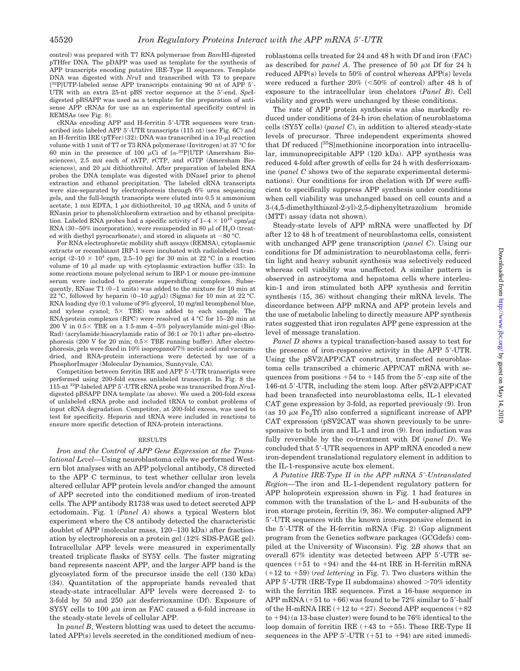control) was prepared with T7 RNA polymerase from *Bam*HI-digested pTHfer DNA. The pDAPP was used as template for the synthesis of APP transcripts encoding putative IRE-Type II sequences. Template DNA was digested with *Nru*I and transcribed with T3 to prepare [<sup>32</sup>P]UTP-labeled sense APP transcripts containing 90 nt of APP 5'-UTR with an extra 25-nt pBS vector sequence at the 5-end. *Spe*Idigested pBSAPP was used as a template for the preparation of antisense APP cRNAs for use as an experimental specificity control in REMSAs (see Fig. 8).

cRNAs encoding APP and H-ferritin 5-UTR sequences were transcribed into labeled APP 5-UTR transcripts (115 nt) (see Fig. 6*C*) and an H-ferritin IRE (pTFer) (32). DNA was transcribed in a  $10$ - $\mu$ l reaction volume with 1 unit of T7 or T3 RNA polymerase (Invitrogen) at 37 °C for 60 min in the presence of 100  $\mu$ Ci of [ $\alpha$ -<sup>32</sup>P]UTP (Amersham Biosciences), 2.5 mM each of rATP, rCTP, and rGTP (Amersham Biosciences), and 20  $\mu$ M dithiothreitol. After preparation of labeled RNA probes the DNA template was digested with DNaseI prior to phenol extraction and ethanol precipitation. The labeled cRNA transcripts were size-separated by electrophoresis through 6% urea sequencing gels, and the full-length transcripts were eluted into 0.5 M ammonium acetate, 1 mm EDTA, 1  $\mu$ m dithiothreitol, 10  $\mu$ g tRNA, and 5 units of RNasin prior to phenol/chloroform extraction and by ethanol precipitation. Labeled RNA probes had a specific activity of  $1-4 \times 10^{10}$  cpm/ $\mu$ g RNA (30–50% incorporation), were resuspended in 80  $\mu$ l of H<sub>2</sub>O (treated with diethyl pyrocarbonate), and stored in aliquots at  $-80$  °C.

For RNA electrophoretic mobility shift assays (REMSA), cytoplasmic extracts or recombinant IRP-1 were incubated with radiolabeled transcript  $(2-10 \times 10^4 \text{ cm}, 2.5-10 \text{ pg})$  for 30 min at 22 °C in a reaction volume of 10  $\mu$ l made up with cytoplasmic extraction buffer (33). In some reactions mouse polyclonal serum to IRP-1 or mouse pre-immune serum were included to generate supershifting complexes. Subsequently, RNase T1 (0–1 units) was added to the mixture for 10 min at 22 °C, followed by heparin  $(0-10 \mu g/\mu l)$  (Sigma) for 10 min at 22 °C. RNA loading dye (0.1 volume of 9% glycerol, 10 mg/ml bromphenol blue, and xylene cyanol;  $5 \times$  TBE) was added to each sample. The RNA-protein complexes (RPC) were resolved at 4 °C for 15–20 min at 200 V in  $0.5 \times$  TBE on a 1.5-mm 4-5% polyacrylamide mini-gel (Bio-Rad) (acrylamide:bisacrylamide ratio of 36:1 or 70:1) after pre-electrophoresis (200 V for 20 min;  $0.5 \times$  TBE running buffer). After electrophoresis, gels were fixed in 10% isopropanol/7% acetic acid and vacuumdried, and RNA-protein interactions were detected by use of a PhosphorImager (Molecular Dynamics, Sunnyvale, CA).

Competition between ferritin IRE and APP 5-UTR transcripts were performed using 200-fold excess unlabeled transcript. In Fig. 8 the 115-nt 32P-labeled APP 5-UTR cRNA probe was transcribed from *Nru*Idigested pBSAPP DNA template (as above). We used a 200-fold excess of unlabeled cRNA probe and included tRNA to combat problems of input cRNA degradation. Competitor, at 200-fold excess, was used to test for specificity. Heparin and tRNA were included in reactions to ensure more specific detection of RNA-protein interactions.

#### RESULTS

*Iron and the Control of APP Gene Expression at the Translational Level—*Using neuroblastoma cells we performed Western blot analyses with an APP polyclonal antibody, C8 directed to the APP C terminus, to test whether cellular iron levels altered cellular APP protein levels and/or changed the amount of APP secreted into the conditioned medium of iron-treated cells. The APP antibody R1738 was used to detect secreted APP ectodomain. Fig. 1 (*Panel A*) shows a typical Western blot experiment where the C8 antibody detected the characteristic doublet of APP (molecular mass, 120–130 kDa) after fractionation by electrophoresis on a protein gel (12% SDS-PAGE gel). Intracellular APP levels were measured in experimentally treated triplicate flasks of SY5Y cells. The faster migrating band represents nascent APP, and the larger APP band is the glycosylated form of the precursor inside the cell (130 kDa) (34). Quantitation of the appropriate bands revealed that steady-state intracellular APP levels were decreased 2- to 3-fold by 50 and 250  $\mu$ M desferrioxamine (Df). Exposure of SY5Y cells to 100  $\mu$ M iron as FAC caused a 6-fold increase in the steady-state levels of cellular APP.

In *panel B*, Western blotting was used to detect the accumulated APP(s) levels secreted in the conditioned medium of neuroblastoma cells treated for 24 and 48 h with Df and iron (FAC) as described for *panel A*. The presence of 50  $\mu$ M Df for 24 h reduced APP(s) levels to 50% of control whereas APP(s) levels were reduced a further  $20\%$  (<50% of control) after 48 h of exposure to the intracellular iron chelators (*Panel B*). Cell viability and growth were unchanged by these conditions.

The rate of APP protein synthesis was also markedly reduced under conditions of 24-h iron chelation of neuroblastoma cells (SY5Y cells) (*panel C*), in addition to altered steady-state levels of precursor. Three independent experiments showed that Df reduced [35S]methionine incorporation into intracellular, immunoprecipitable APP (120 kDa). APP synthesis was reduced 4-fold after growth of cells for 24 h with desferrioxamine (*panel C* shows two of the separate experimental determinations). Our conditions for iron chelation with Df were sufficient to specifically suppress APP synthesis under conditions when cell viability was unchanged based on cell counts and a 3-(4,5-dimethylthiazol-2-yl)-2,5-diphenyltetrazolium bromide (MTT) assay (data not shown).

Steady-state levels of APP mRNA were unaffected by Df after 12 to 48 h of treatment of neuroblastoma cells, consistent with unchanged APP gene transcription (*panel C*). Using our conditions for Df administration to neuroblastoma cells, ferritin light and heavy subunit synthesis was selectively reduced whereas cell viability was unaffected. A similar pattern is observed in astrocytoma and hepatoma cells where interleukin-1 and iron stimulated both APP synthesis and ferritin synthesis (15, 36) without changing their mRNA levels. The discordance between APP mRNA and APP protein levels and the use of metabolic labeling to directly measure APP synthesis rates suggested that iron regulates APP gene expression at the level of message translation.

*Panel D* shows a typical transfection-based assay to test for the presence of iron-responsive activity in the APP 5-UTR. Using the pSV2(APP)CAT construct, transfected neuroblastoma cells transcribed a chimeric APP/CAT mRNA with sequences from positions  $+54$  to  $+145$  from the 5'-cap site of the 146-nt 5-UTR, including the stem loop. After pSV2(APP)CAT had been transfected into neuroblastoma cells, IL-1 elevated CAT gene expression by 3-fold, as reported previously (9). Iron (as 10  $\mu$ M Fe<sub>2</sub>Tf) also conferred a significant increase of APP CAT expression (pSV2CAT was shown previously to be unresponsive to both iron and IL-1 and iron (9). Iron induction was fully reversible by the co-treatment with Df (*panel D*). We concluded that 5-UTR sequences in APP mRNA encoded a new iron-dependent translational regulatory element in addition to the IL-1-responsive acute box element.

*A Putative IRE-Type II in the APP mRNA 5-Untranslated Region—*The iron and IL-1-dependent regulatory pattern for APP holoprotein expression shown in Fig. 1 had features in common with the translation of the L- and H-subunits of the iron storage protein, ferritin (9, 36). We computer-aligned APP 5-UTR sequences with the known iron-responsive element in the 5-UTR of the H-ferritin mRNA (Fig. 2) (Gap alignment program from the Genetics software packages (GCGdefs) compiled at the University of Wisconsin). Fig. 2*B* shows that an overall 67% identity was detected between APP 5-UTR sequences  $(+51$  to  $+94)$  and the 44-nt IRE in H-ferritin mRNA  $(+12$  to  $+59)$  (*red lettering* in Fig. 7). Two clusters within the APP 5'-UTR (IRE-Type II subdomains) showed  $>70\%$  identity with the ferritin IRE sequences. First a 16-base sequence in APP mRNA  $(+51$  to  $+66)$  was found to be 72% similar to 5'-half of the H-mRNA IRE  $(+12 \text{ to } +27)$ . Second APP sequences  $(+82$ to  $+94$ ) (a 13-base cluster) were found to be  $76\%$  identical to the loop domain of ferritin IRE  $(+43$  to  $+55)$ . These IRE-Type II sequences in the APP  $5'$ -UTR  $(+51$  to  $+94)$  are sited immedi-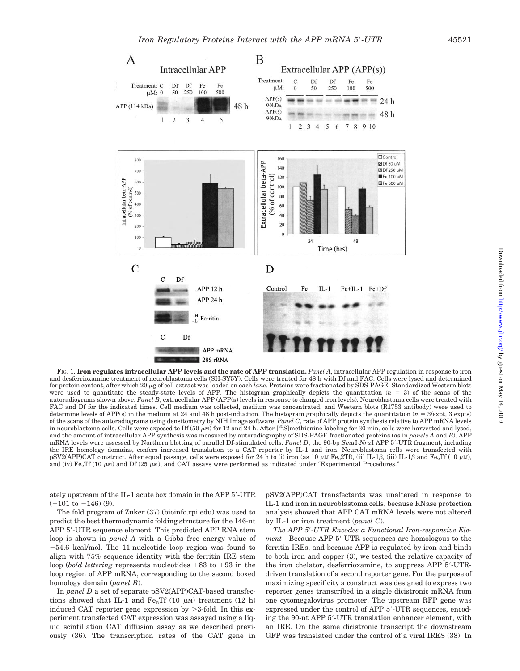

FIG. 1. **Iron regulates intracellular APP levels and the rate of APP translation.** *Panel A*, intracellular APP regulation in response to iron and desferrioxamine treatment of neuroblastoma cells (SH-SY5Y). Cells were treated for 48 h with Df and FAC. Cells were lysed and determined for protein content, after which 20 µg of cell extract was loaded on each *lane*. Proteins were fractionated by SDS-PAGE. Standardized Western blots were used to quantitate the steady-state levels of APP. The histogram graphically depicts the quantitation  $(n = 3)$  of the scans of the autoradiograms shown above. *Panel B*, extracellular APP (APP(s) levels in response to changed iron levels). Neuroblastoma cells were treated with FAC and Df for the indicated times. Cell medium was collected, medium was concentrated, and Western blots (R1753 antibody) were used to determine levels of APP(s) in the medium at 24 and 48 h post-induction. The histogram graphically depicts the quantitation ( $n = 3$ /expt, 3 expts) of the scans of the autoradiograms using densitometry by NIH Image software. *Panel C*, rate of APP protein synthesis relative to APP mRNA levels in neuroblastoma cells. Cells were exposed to Df (50  $\mu$ M) for 12 and 24 h. After [<sup>35</sup>S]methionine labeling for 30 min, cells were harvested and lysed, and the amount of intracellular APP synthesis was measured by autoradiography of SDS-PAGE fractionated proteins (as in *panels A* and *B*). APP mRNA levels were assessed by Northern blotting of parallel Df-stimulated cells. *Panel D*, the 90-bp *Sma*I-*Nru*I APP 5-UTR fragment, including the IRE homology domains, confers increased translation to a CAT reporter by IL-1 and iron. Neuroblastoma cells were transfected with pSV2(APP)CAT construct. After equal passage, cells were exposed for 24 h to (i) iron (as 10  $\mu$ m Fe<sub>2</sub>2Tf), (ii) IL-1 $\beta$ , (iii) IL-1 $\beta$  and Fe<sub>2</sub>Tf (10  $\mu$ m), and (iv) Fe<sub>2</sub>Tf (10  $\mu$ M) and Df (25  $\mu$ M), and CAT assays were performed as indicated under "Experimental Procedures."

ately upstream of the IL-1 acute box domain in the APP 5-UTR  $(+101$  to  $-146)$  (9).

The fold program of Zuker (37) (bioinfo.rpi.edu) was used to predict the best thermodynamic folding structure for the 146-nt APP 5'-UTR sequence element. This predicted APP RNA stem loop is shown in *panel A* with a Gibbs free energy value of 54.6 kcal/mol. The 11-nucleotide loop region was found to align with 75% sequence identity with the ferritin IRE stem loop (*bold lettering* represents nucleotides  $+83$  to  $+93$  in the loop region of APP mRNA, corresponding to the second boxed homology domain (*panel B*).

In *panel D* a set of separate pSV2(APP)CAT-based transfections showed that IL-1 and  $Fe<sub>2</sub>TF$  (10  $\mu$ M) treatment (12 h) induced CAT reporter gene expression by  $>3$ -fold. In this experiment transfected CAT expression was assayed using a liquid scintillation CAT diffusion assay as we described previously (36). The transcription rates of the CAT gene in pSV2(APP)CAT transfectants was unaltered in response to IL-1 and iron in neuroblastoma cells, because RNase protection analysis showed that APP CAT mRNA levels were not altered by IL-1 or iron treatment (*panel C*).

*The APP 5-UTR Encodes a Functional Iron-responsive Element—*Because APP 5-UTR sequences are homologous to the ferritin IREs, and because APP is regulated by iron and binds to both iron and copper (3), we tested the relative capacity of the iron chelator, desferrioxamine, to suppress APP 5-UTRdriven translation of a second reporter gene. For the purpose of maximizing specificity a construct was designed to express two reporter genes transcribed in a single dicistronic mRNA from one cytomegalovirus promoter. The upstream RFP gene was expressed under the control of APP 5-UTR sequences, encoding the 90-nt APP 5-UTR translation enhancer element, with an IRE. On the same dicistronic transcript the downstream GFP was translated under the control of a viral IRES (38). In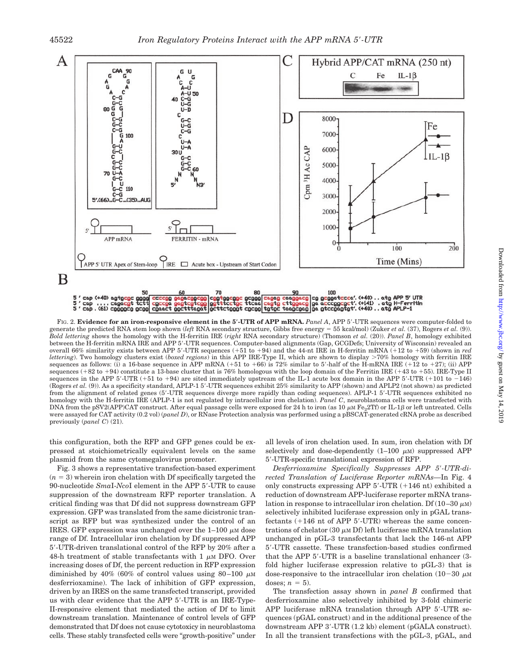

FIG. 2. **Evidence for an iron-responsive element in the 5-UTR of APP mRNA.** *Panel A*, APP 5-UTR sequences were computer-folded to generate the predicted RNA stem loop shown (*left* RNA secondary structure, Gibbs free energy 55 kcal/mol) (Zuker *et al.* (37), Rogers *et al.* (9)). *Bold lettering* shows the homology with the H-ferritin IRE (*right* RNA secondary structure) (Thomson *et al.* (20)). *Panel B*, homology exhibited between the H-ferritin mRNA IRE and APP 5-UTR sequences. Computer-based alignments (Gap, GCGDefs; University of Wisconsin) revealed an overall 66% similarity exists between APP 5'-UTR sequences (+51 to +94) and the 44-nt IRE in H-ferritin mRNA (+12 to +59) (shown in *red lettering*). Two homology clusters exist (*boxed regions*) in this APP IRE-Type II, which are shown to display >70% homology with ferritin IRE sequences as follows: (i) a 16-base sequence in APP mRNA (+51 to +66) is 72% similar to 5'-half of the H-mRNA IRE (+12 to +27); (ii) APP sequences (+82 to +94) constitute a 13-base cluster that is 76% homologous with the loop domain of the Ferritin IRE (+43 to +55). IRE-Type II sequences in the APP  $5'$ -UTR (+51 to +94) are sited immediately upstream of the IL-1 acute box domain in the APP  $5'$ -UTR (+101 to  $-146$ ) (Rogers *et al.* (9)). As a specificity standard, APLP-1 5'-UTR sequences exhibit 25% similarity to APP (shown) and APLP2 (not shown) as predicted from the alignment of related genes (5-UTR sequences diverge more rapidly than coding sequences). APLP-1 5-UTR sequences exhibited no homology with the H-ferritin IRE (APLP-1 is not regulated by intracellular iron chelation). *Panel C*, neuroblastoma cells were transfected with DNA from the pSV2(APP)CAT construct. After equal passage cells were exposed for 24 h to iron (as 10  $\mu$ M Fe<sub>2</sub>2Tf) or IL-1 $\beta$  or left untreated. Cells were assayed for CAT activity (0.2 vol) (*panel D*), or RNase Protection analysis was performed using a pBSCAT-generated cRNA probe as described previously (*panel C*) (21).

this configuration, both the RFP and GFP genes could be expressed at stoichiometrically equivalent levels on the same plasmid from the same cytomegalovirus promoter.

Fig. 3 shows a representative transfection-based experiment  $(n = 3)$  wherein iron chelation with Df specifically targeted the 90-nucleotide *Sma*I-*Nco*I element in the APP 5-UTR to cause suppression of the downstream RFP reporter translation. A critical finding was that Df did not suppress downstream GFP expression. GFP was translated from the same dicistronic transcript as RFP but was synthesized under the control of an IRES. GFP expression was unchanged over the  $1-100 \mu M$  dose range of Df. Intracellular iron chelation by Df suppressed APP 5-UTR-driven translational control of the RFP by 20% after a 48-h treatment of stable transfectants with 1  $\mu$ M DFO. Over increasing doses of Df, the percent reduction in RFP expression diminished by 40% (60% of control values using  $80-100 \mu M$ desferrioxamine). The lack of inhibition of GFP expression, driven by an IRES on the same transfected transcript, provided us with clear evidence that the APP 5-UTR is an IRE-Type-II-responsive element that mediated the action of Df to limit downstream translation. Maintenance of control levels of GFP demonstrated that Df does not cause cytotoxicy in neuroblastoma cells. These stably transfected cells were "growth-positive" under

all levels of iron chelation used. In sum, iron chelation with Df selectively and dose-dependently  $(1-100 \mu M)$  suppressed APP 5-UTR-specific translational expression of RFP.

*Desferrioxamine Specifically Suppresses APP 5-UTR-directed Translation of Luciferase Reporter mRNAs—*In Fig. 4 only constructs expressing APP  $5'$ -UTR  $(+146$  nt) exhibited a reduction of downstream APP-luciferase reporter mRNA translation in response to intracellular iron chelation. Df (10–30  $\mu$ M) selectively inhibited luciferase expression only in pGAL transfectants  $(+146$  nt of APP  $5'$ -UTR) whereas the same concentrations of chelator (30  $\mu$ M Df) left luciferase mRNA translation unchanged in pGL-3 transfectants that lack the 146-nt APP 5-UTR cassette. These transfection-based studies confirmed that the APP 5-UTR is a baseline translational enhancer (3 fold higher luciferase expression relative to pGL-3) that is dose-responsive to the intracellular iron chelation  $(10-30 \mu M)$ doses;  $n = 5$ ).

The transfection assay shown in *panel B* confirmed that desferrioxamine also selectively inhibited by 3-fold chimeric APP luciferase mRNA translation through APP 5-UTR sequences (pGAL construct) and in the additional presence of the downstream APP 3-UTR (1.2 kb) element (pGALA construct). In all the transient transfections with the pGL-3, pGAL, and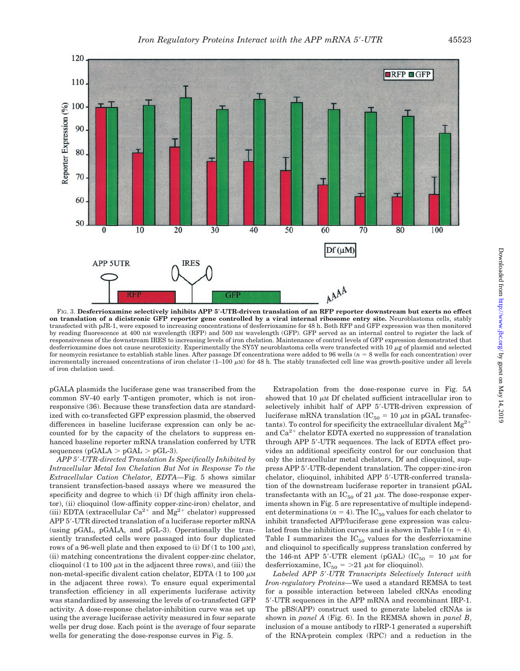

FIG. 3. **Desferrioxamine selectively inhibits APP 5-UTR-driven translation of an RFP reporter downstream but exerts no effect on translation of a dicistronic GFP reporter gene controlled by a viral internal ribosome entry site.** Neuroblastoma cells, stably transfected with pJR-1, were exposed to increasing concentrations of desferrioxamine for 48 h. Both RFP and GFP expression was then monitored by reading fluorescence at 400 nM wavelength (RFP) and 500 nM wavelength (GFP). GFP served as an internal control to register the lack of responsiveness of the downstream IRES to increasing levels of iron chelation. Maintenance of control levels of GFP expression demonstrated that desferrioxamine does not cause neurotoxicity. Experimentally the SY5Y neuroblastoma cells were transfected with  $10 \mu$ g of plasmid and selected for neomycin resistance to establish stable lines. After passage Df concentrations were added to  $96$  wells  $(n = 8$  wells for each concentration) over incrementally increased concentrations of iron chelator  $(1-100 \mu)$  for 48 h. The stably transfected cell line was growth-positive under all levels of iron chelation used.

pGALA plasmids the luciferase gene was transcribed from the common SV-40 early T-antigen promoter, which is not ironresponsive (36). Because these transfection data are standardized with co-transfected GFP expression plasmid, the observed differences in baseline luciferase expression can only be accounted for by the capacity of the chelators to suppress enhanced baseline reporter mRNA translation conferred by UTR sequences (pGALA  $>$  pGAL  $>$  pGL-3).

*APP 5-UTR-directed Translation Is Specifically Inhibited by Intracellular Metal Ion Chelation But Not in Response To the Extracellular Cation Chelator, EDTA—*Fig. 5 shows similar transient transfection-based assays where we measured the specificity and degree to which (i) Df (high affinity iron chelator), (ii) clioquinol (low-affinity copper-zinc-iron) chelator, and (iii) EDTA (extracellular  $Ca^{2+}$  and  $Mg^{2+}$  chelator) suppressed APP 5'-UTR directed translation of a luciferase reporter mRNA (using pGAL, pGALA, and pGL-3). Operationally the transiently transfected cells were passaged into four duplicated rows of a 96-well plate and then exposed to (i) Df (1 to 100  $\mu$ M), (ii) matching concentrations the divalent copper-zinc chelator, clioquinol (1 to 100  $\mu$ M in the adjacent three rows), and (iii) the non-metal-specific divalent cation chelator, EDTA  $(1 \text{ to } 100 \mu\text{m})$ in the adjacent three rows). To ensure equal experimental transfection efficiency in all experiments luciferase activity was standardized by assessing the levels of co-transfected GFP activity. A dose-response chelator-inhibition curve was set up using the average luciferase activity measured in four separate wells per drug dose. Each point is the average of four separate wells for generating the dose-response curves in Fig. 5.

Extrapolation from the dose-response curve in Fig. 5*A* showed that 10  $\mu$ M Df chelated sufficient intracellular iron to selectively inhibit half of APP 5'-UTR-driven expression of luciferase mRNA translation ( $IC_{50} = 10 \mu M$  in pGAL transfectants). To control for specificity the extracellular divalent  $Mg^{2+}$ and  $Ca^{2+}$  chelator EDTA exerted no suppression of translation through APP 5-UTR sequences. The lack of EDTA effect provides an additional specificity control for our conclusion that only the intracellular metal chelators, Df and clioquinol, suppress APP 5-UTR-dependent translation. The copper-zinc-iron chelator, clioquinol, inhibited APP 5-UTR-conferred translation of the downstream luciferase reporter in transient pGAL transfectants with an  $IC_{50}$  of 21  $\mu$ M. The dose-response experiments shown in Fig. 5 are representative of multiple independent determinations ( $n = 4$ ). The IC<sub>50</sub> values for each chelator to inhibit transfected APP/luciferase gene expression was calculated from the inhibition curves and is shown in Table I  $(n = 4)$ . Table I summarizes the  $IC_{50}$  values for the desferrioxamine and clioquinol to specifically suppress translation conferred by the 146-nt APP 5'-UTR element (pGAL) (IC<sub>50</sub> = 10  $\mu$ M for desferrioxamine, IC<sub>50</sub> = >21  $\mu$ M for clioquinol).

*Labeled APP 5-UTR Transcripts Selectively Interact with Iron-regulatory Proteins—*We used a standard REMSA to test for a possible interaction between labeled cRNAs encoding 5-UTR sequences in the APP mRNA and recombinant IRP-1. The pBS(APP) construct used to generate labeled cRNAs is shown in *panel A* (Fig. 6). In the REMSA shown in *panel B*, inclusion of a mouse antibody to rIRP-1 generated a supershift of the RNA-protein complex (RPC) and a reduction in the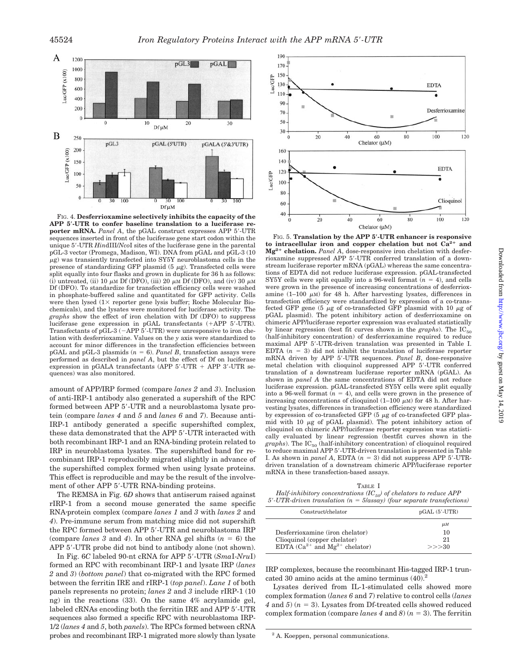

FIG. 4. **Desferrioxamine selectively inhibits the capacity of the APP 5-UTR to confer baseline translation to a luciferase reporter mRNA.** *Panel A*, the pGAL construct expresses APP 5-UTR sequences inserted in front of the luciferase gene start codon within the unique 5-UTR *Hin*dIII/*Nco*I sites of the luciferase gene in the parental pGL-3 vector (Promega, Madison, WI). DNA from pGAL and pGL-3 (10  $\mu$ g) was transiently transfected into SY5Y neuroblastoma cells in the presence of standardizing GFP plasmid  $(5 \mu g)$ . Transfected cells were split equally into four flasks and grown in duplicate for 36 h as follows: (i) untreated, (ii) 10  $\mu$ M Df (DFO), (iii) 20  $\mu$ M Df (DFO), and (iv) 30  $\mu$ M Df (DFO). To standardize for transfection efficiency cells were washed in phosphate-buffered saline and quantitated for GFP activity. Cells were then lysed  $(1 \times$  reporter gene lysis buffer; Roche Molecular Biochemicals), and the lysates were monitored for luciferase activity. The *graphs* show the effect of iron chelation with Df (DFO) to suppress luciferase gene expression in pGAL transfectants (+APP 5'-UTR). Transfectants of pGL-3 ( $-$ APP 5'-UTR) were unresponsive to iron chelation with desferrioxamine. Values on the *y* axis were standardized to account for minor differences in the transfection efficiencies between pGAL and pGL-3 plasmids  $(n = 6)$ . *Panel B*, transfection assays were performed as described in *panel A*, but the effect of Df on luciferase expression in pGALA transfectants (APP  $5'$ -UTR + APP  $3'$ -UTR sequences) was also monitored.

amount of APP/IRP formed (compare *lanes 2* and *3*). Inclusion of anti-IRP-1 antibody also generated a supershift of the RPC formed between APP 5-UTR and a neuroblastoma lysate protein (compare *lanes 4* and *5* and *lanes 6* and *7*). Because anti-IRP-1 antibody generated a specific supershifted complex, these data demonstrated that the APP 5-UTR interacted with both recombinant IRP-1 and an RNA-binding protein related to IRP in neuroblastoma lysates. The supershifted band for recombinant IRP-1 reproducibly migrated slightly in advance of the supershifted complex formed when using lysate proteins. This effect is reproducible and may be the result of the involvement of other APP 5'-UTR RNA-binding proteins.

The REMSA in Fig. 6*D* shows that antiserum raised against rIRP-1 from a second mouse generated the same specific RNA-protein complex (compare *lanes 1* and *3* with *lanes 2* and *4*). Pre-immune serum from matching mice did not supershift the RPC formed between APP 5'-UTR and neuroblastoma IRP (compare *lanes* 3 and 4). In other RNA gel shifts  $(n = 6)$  the APP 5'-UTR probe did not bind to antibody alone (not shown).

In Fig. 6*C* labeled 90-nt cRNA for APP 5-UTR (*Sma*I-*Nru*I) formed an RPC with recombinant IRP-1 and lysate IRP (*lanes 2* and *3*) (*bottom panel*) that co-migrated with the RPC formed between the ferritin IRE and rIRP-1 (*top panel*). *Lane 1* of both panels represents no protein; *lanes 2* and *3* include rIRP-1 (10 ng) in the reactions (33). On the same 4% acrylamide gel, labeled cRNAs encoding both the ferritin IRE and APP 5'-UTR sequences also formed a specific RPC with neuroblastoma IRP-1/2 (*lanes 4* and *5*, both *panels*). The RPCs formed between cRNA probes and recombinant IRP-1 migrated more slowly than lysate



FIG. 5. **Translation by the APP 5-UTR enhancer is responsive** to intracellular iron and copper chelation but not  $Ca^{2+}$  and **Mg2 chelation.** *Panel A*, dose-responsive iron chelation with desferrioxamine suppressed APP 5-UTR conferred translation of a downstream luciferase reporter mRNA (pGAL) whereas the same concentrations of EDTA did not reduce luciferase expression. pGAL-transfected SY5Y cells were split equally into a 96-well format  $(n = 4)$ , and cells were grown in the presence of increasing concentrations of desferrioxamine (1–100  $\mu$ M) for 48 h. After harvesting lysates, differences in transfection efficiency were standardized by expression of a co-transfected GFP gene (5  $\mu$ g of co-transfected GFP plasmid with 10  $\mu$ g of pGAL plasmid). The potent inhibitory action of desferrioxamine on chimeric APP/luciferase reporter expression was evaluated statistically by linear regression (best fit curves shown in the *graphs*). The  $IC_{50}$ (half-inhibitory concentration) of desferrioxamine required to reduce maximal APP 5-UTR-driven translation was presented in Table I. EDTA  $(n = 3)$  did not inhibit the translation of luciferase reporter mRNA driven by APP 5-UTR sequences. *Panel B*, dose-responsive metal chelation with clioquinol suppressed APP 5-UTR conferred translation of a downstream luciferase reporter mRNA (pGAL). As shown in *panel A* the same concentrations of EDTA did not reduce luciferase expression. pGAL-transfected SY5Y cells were split equally into a 96-well format  $(n = 4)$ , and cells were grown in the presence of increasing concentrations of clioquinol  $(1-100 \mu)$  for 48 h. After harvesting lysates, differences in transfection efficiency were standardized by expression of co-transfected GFP (5  $\mu\mathrm{g}$  of co-transfected GFP plasmid with 10  $\mu$ g of pGAL plasmid). The potent inhibitory action of clioquinol on chimeric APP/luciferase reporter expression was statistically evaluated by linear regression (bestfit curves shown in the graphs). The IC<sub>50</sub> (half-inhibitory concentration) of clioquinol required to reduce maximal APP 5-UTR-driven translation is presented in Table I. As shown in *panel A*, EDTA  $(n = 3)$  did not suppress APP 5'-UTRdriven translation of a downstream chimeric APP/luciferase reporter mRNA in these transfection-based assays.

TABLE I *Half-inhibitory concentrations*  $(IC_{50})$  *of chelators to reduce APP* 

| $5'$ -UTR-driven translation ( $n = 5$ /assay) (four separate transfections) |  |  |  |
|------------------------------------------------------------------------------|--|--|--|

| $pGAL(5'-UTR)$                 |  |  |
|--------------------------------|--|--|
| $\mu$ M<br>10<br>21<br>$>>$ 30 |  |  |
|                                |  |  |

IRP complexes, because the recombinant His-tagged IRP-1 truncated 30 amino acids at the amino terminus (40).2

Lysates derived from IL-1-stimulated cells showed more complex formation (*lanes 6* and *7*) relative to control cells (*lanes*  $4$  and  $5$ ) ( $n = 3$ ). Lysates from Df-treated cells showed reduced complex formation (compare *lanes 4* and *8*)  $(n = 3)$ . The ferritin

<sup>2</sup> A. Koeppen, personal communications.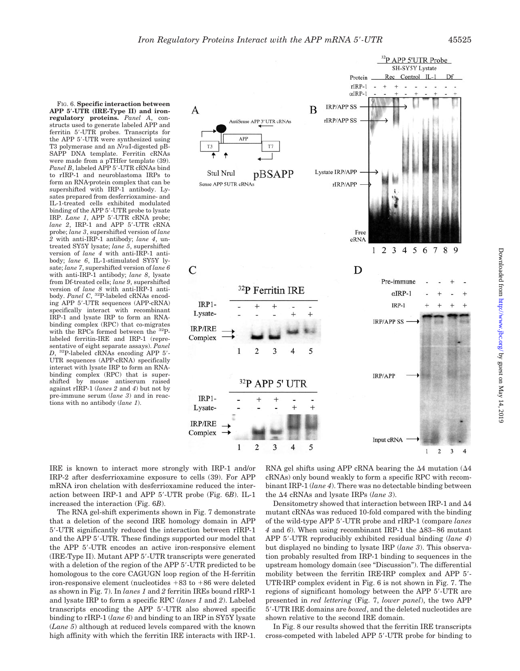FIG. 6. **Specific interaction between APP 5-UTR (IRE-Type II) and ironregulatory proteins.** *Panel A*, constructs used to generate labeled APP and ferritin 5-UTR probes. Transcripts for the APP 5-UTR were synthesized using T3 polymerase and an *Nru*I-digested pB-SAPP DNA template. Ferritin cRNAs were made from a pTHfer template (39). Panel B, labeled APP 5'-UTR cRNAs bind to rIRP-1 and neuroblastoma IRPs to form an RNA-protein complex that can be supershifted with IRP-1 antibody. Lysates prepared from desferrioxamine- and IL-1-treated cells exhibited modulated binding of the APP 5-UTR probe to lysate IRP. *Lane 1*, APP 5-UTR cRNA probe; *lane 2*, IRP-1 and APP 5'-UTR cRNA probe; *lane 3*, supershifted version of *lane 2* with anti-IRP-1 antibody; *lane 4*, untreated SY5Y lysate; *lane 5*, supershifted version of *lane 4* with anti-IRP-1 antibody; *lane 6*, IL-1-stimulated SY5Y lysate; *lane 7*, supershifted version of *lane 6* with anti-IRP-1 antibody; *lane 8*, lysate from Df-treated cells; *lane 9*, supershifted version of *lane 8* with anti-IRP-1 anti-body. *Panel C*, 32P-labeled cRNAs encoding APP 5-UTR sequences (APP-cRNA) specifically interact with recombinant IRP-1 and lysate IRP to form an RNAbinding complex (RPC) that co-migrates with the RPCs formed between the 32Plabeled ferritin-IRE and IRP-1 (representative of eight separate assays). *Panel D*, 32P-labeled cRNAs encoding APP 5- UTR sequences (APP-cRNA) specifically interact with lysate IRP to form an RNAbinding complex (RPC) that is supershifted by mouse antiserum raised against rIRP-1 (*lanes 2* and *4*) but not by pre-immune serum (*lane 3*) and in reactions with no antibody (*lane 1*).



IRE is known to interact more strongly with IRP-1 and/or IRP-2 after desferrioxamine exposure to cells (39). For APP mRNA iron chelation with desferrioxamine reduced the interaction between IRP-1 and APP 5-UTR probe (Fig. 6*B*). IL-1 increased the interaction (Fig. 6*B*).

The RNA gel-shift experiments shown in Fig. 7 demonstrate that a deletion of the second IRE homology domain in APP 5-UTR significantly reduced the interaction between rIRP-1 and the APP 5-UTR. These findings supported our model that the APP 5-UTR encodes an active iron-responsive element (IRE-Type II). Mutant APP 5-UTR transcripts were generated with a deletion of the region of the APP 5'-UTR predicted to be homologous to the core CAGUGN loop region of the H-ferritin iron-responsive element (nucleotides +83 to +86 were deleted as shown in Fig. 7). In *lanes 1* and *2* ferritin IREs bound rIRP-1 and lysate IRP to form a specific RPC (*lanes 1* and *2*). Labeled transcripts encoding the APP 5-UTR also showed specific binding to rIRP-1 (*lane 6*) and binding to an IRP in SY5Y lysate (*Lane 5*) although at reduced levels compared with the known high affinity with which the ferritin IRE interacts with IRP-1.

RNA gel shifts using APP cRNA bearing the  $\Delta 4$  mutation ( $\Delta 4$ ) cRNAs) only bound weakly to form a specific RPC with recombinant IRP-1 (*lane 4*). There was no detectable binding between the  $\Delta 4$  cRNAs and lysate IRPs (lane 3).

Densitometry showed that interaction between IRP-1 and  $\Delta 4$ mutant cRNAs was reduced 10-fold compared with the binding of the wild-type APP 5-UTR probe and rIRP-1 (compare *lanes* 4 and 6). When using recombinant IRP-1 the  $\Delta$ 83–86 mutant APP 5-UTR reproducibly exhibited residual binding (*lane 4*) but displayed no binding to lysate IRP (*lane 3*). This observation probably resulted from IRP-1 binding to sequences in the upstream homology domain (see "Discussion"). The differential mobility between the ferritin IRE-IRP complex and APP 5'-UTR-IRP complex evident in Fig. 6 is not shown in Fig. 7. The regions of significant homology between the APP 5-UTR are presented in *red lettering* (Fig. 7, *lower panel*), the two APP 5-UTR IRE domains are *boxed*, and the deleted nucleotides are shown relative to the second IRE domain.

In Fig. 8 our results showed that the ferritin IRE transcripts cross-competed with labeled APP 5-UTR probe for binding to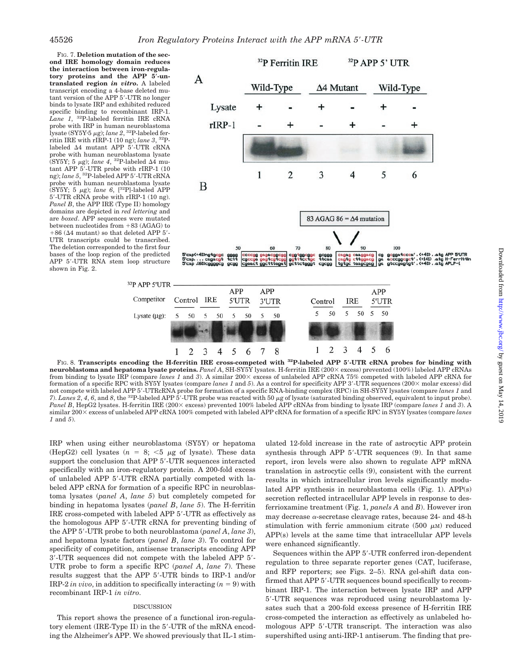FIG. 7. **Deletion mutation of the second IRE homology domain reduces the interaction between iron-regulatory proteins and the APP 5-untranslated region** *in vitro***.** A labeled transcript encoding a 4-base deleted mutant version of the APP 5'-UTR no longer binds to lysate IRP and exhibited reduced specific binding to recombinant IRP-1. *Lane 1*, 32P-labeled ferritin IRE cRNA probe with IRP in human neuroblastoma lysate (SY5Y·5 μg); *lane 2*, <sup>32</sup>P-labeled ferritin IRE with rIRP-1 (10 ng); *lane 3*, 32Plabeled  $\Delta 4$  mutant APP  $\bar{5}'$ -UTR cRNA probe with human neuroblastoma lysate (SY5Y; 5  $\mu$ g); *lane 4*, <sup>32</sup>P-labeled  $\Delta 4$  mutant APP 5'-UTR probe with rIRP-1 (10<br>ng); *lane* 5, <sup>32</sup>P-labeled APP 5'-UTR cRNA probe with human neuroblastoma lysate  $(SY5Y; 5 \mu g)$ ; *lane 6*,  $[{}^{32}P]$ -labeled APP 5-UTR cRNA probe with rIRP-1 (10 ng). *Panel B*, the APP IRE (Type II) homology domains are depicted in *red lettering* and are *boxed*. APP sequences were mutated between nucleotides from  $+83$  (AGAG) to  $+86$  ( $\Delta 4$  mutant) so that deleted APP 5'-UTR transcripts could be transcribed. The deletion corresponded to the first four bases of the loop region of the predicted APP 5-UTR RNA stem loop structure shown in Fig. 2.



FIG. 8. **Transcripts encoding the H-ferritin IRE cross-competed with 32P-labeled APP 5-UTR cRNA probes for binding with neuroblastoma and hepatoma lysate proteins.** *Panel A*, SH-SY5Y lysates. H-ferritin IRE (200 excess) prevented (100%) labeled APP cRNAs from binding to lysate IRP (compare *lanes 1* and 3). A similar 200× excess of unlabeled APP cRNA 75% competed with labeled APP cRNA for formation of a specific RPC with SY5Y lysates (compare *lanes 1* and 5). As a control for specificity APP 3'-UTR sequences (200 \times) did not compete with labeled APP 5-UTRcRNA probe for formation of a specific RNA-binding complex (RPC) in SH-SY5Y lysates (compare *lanes 1* and 7). *Lanes 2*, 4, 6, and 8, the <sup>32</sup>P-labeled APP 5'-UTR probe was reacted with 50 μg of lysate (saturated binding observed, equivalent to input probe). *Panel B*, HepG2 lysates. H-ferritin IRE (200× excess) prevented 100% labeled APP cRNAs from binding to lysate IRP (compare *lanes 1* and 3). A similar 200× excess of unlabeled APP cRNA 100% competed with labeled APP cRNA for formation of a specific RPC in SY5Y lysates (compare *lanes 1* and *5*).

IRP when using either neuroblastoma (SY5Y) or hepatoma (HepG2) cell lysates  $(n = 8; \leq 5 \mu g)$  of lysate). These data support the conclusion that APP 5'-UTR sequences interacted specifically with an iron-regulatory protein. A 200-fold excess of unlabeled APP 5-UTR cRNA partially competed with labeled APP cRNA for formation of a specific RPC in neuroblastoma lysates (*panel A*, *lane 5*) but completely competed for binding in hepatoma lysates (*panel B*, *lane 5*). The H-ferritin IRE cross-competed with labeled APP 5-UTR as effectively as the homologous APP 5-UTR cRNA for preventing binding of the APP 5-UTR probe to both neuroblastoma (*panel A*, *lane 3*), and hepatoma lysate factors (*panel B*, *lane 3*). To control for specificity of competition, antisense transcripts encoding APP 3-UTR sequences did not compete with the labeled APP 5- UTR probe to form a specific RPC (*panel A*, *lane 7*). These results suggest that the APP 5-UTR binds to IRP-1 and/or IRP-2 *in vivo*, in addition to specifically interacting  $(n = 9)$  with recombinant IRP-1 *in vitro*.

## DISCUSSION

This report shows the presence of a functional iron-regulatory element (IRE-Type II) in the 5'-UTR of the mRNA encoding the Alzheimer's APP. We showed previously that IL-1 stimulated 12-fold increase in the rate of astrocytic APP protein synthesis through APP 5'-UTR sequences (9). In that same report, iron levels were also shown to regulate APP mRNA translation in astrocytic cells (9), consistent with the current results in which intracellular iron levels significantly modulated APP synthesis in neuroblastoma cells (Fig. 1). APP(s) secretion reflected intracellular APP levels in response to desferrioxamine treatment (Fig. 1, *panels A* and *B*). However iron may decrease  $\alpha$ -secretase cleavage rates, because 24- and 48-h stimulation with ferric ammonium citrate  $(500 \mu M)$  reduced APP(s) levels at the same time that intracellular APP levels were enhanced significantly.

Sequences within the APP 5'-UTR conferred iron-dependent regulation to three separate reporter genes (CAT, luciferase, and RFP reporters; see Figs. 2–5). RNA gel-shift data confirmed that APP 5'-UTR sequences bound specifically to recombinant IRP-1. The interaction between lysate IRP and APP 5-UTR sequences was reproduced using neuroblastoma lysates such that a 200-fold excess presence of H-ferritin IRE cross-competed the interaction as effectively as unlabeled homologous APP 5-UTR transcript. The interaction was also supershifted using anti-IRP-1 antiserum. The finding that pre-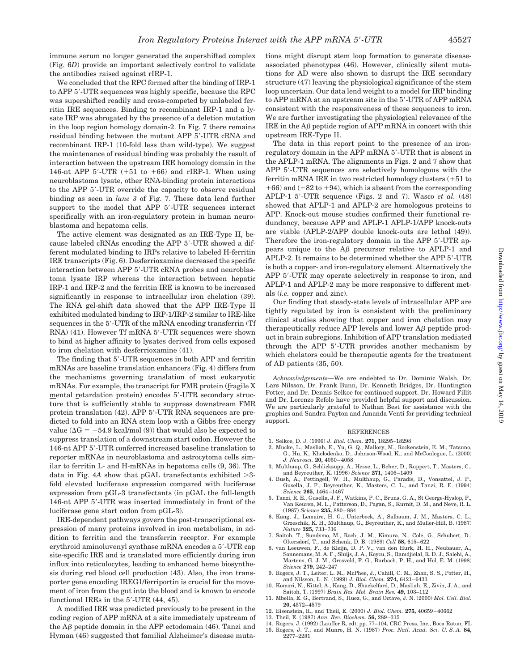immune serum no longer generated the supershifted complex (Fig. 6*D*) provide an important selectively control to validate the antibodies raised against rIRP-1.

We concluded that the RPC formed after the binding of IRP-1 to APP 5-UTR sequences was highly specific, because the RPC was supershifted readily and cross-competed by unlabeled ferritin IRE sequences. Binding to recombinant IRP-1 and a lysate IRP was abrogated by the presence of a deletion mutation in the loop region homology domain-2. In Fig. 7 there remains residual binding between the mutant APP 5'-UTR cRNA and recombinant IRP-1 (10-fold less than wild-type). We suggest the maintenance of residual binding was probably the result of interaction between the upstream IRE homology domain in the 146-nt APP 5'-UTR  $(+51$  to  $+66$ ) and rIRP-1. When using neuroblastoma lysate, other RNA-binding protein interactions to the APP 5-UTR override the capacity to observe residual binding as seen in *lane 3* of Fig. 7. These data lend further support to the model that APP 5'-UTR sequences interact specifically with an iron-regulatory protein in human neuroblastoma and hepatoma cells.

The active element was designated as an IRE-Type II, because labeled cRNAs encoding the APP 5'-UTR showed a different modulated binding to IRPs relative to labeled H-ferritin IRE transcripts (Fig. 6). Desferrioxamine decreased the specific interaction between APP 5'-UTR cRNA probes and neuroblastoma lysate IRP whereas the interaction between hepatic IRP-1 and IRP-2 and the ferritin IRE is known to be increased significantly in response to intracellular iron chelation (39). The RNA gel-shift data showed that the APP IRE-Type II exhibited modulated binding to IRP-1/IRP-2 similar to IRE-like sequences in the 5'-UTR of the mRNA encoding transferrin (Tf RNA) (41). However Tf mRNA 5'-UTR sequences were shown to bind at higher affinity to lysates derived from cells exposed to iron chelation with desferrioxamine (41).

The finding that 5'-UTR sequences in both APP and ferritin mRNAs are baseline translation enhancers (Fig. 4) differs from the mechanisms governing translation of most eukaryotic mRNAs. For example, the transcript for FMR protein (fragile X mental retardation protein) encodes 5'-UTR secondary structure that is sufficiently stable to suppress downstream FMR protein translation (42). APP 5'-UTR RNA sequences are predicted to fold into an RNA stem loop with a Gibbs free energy value ( $\Delta G = -54.9$  kcal/mol (9)) that would also be expected to suppress translation of a downstream start codon. However the 146-nt APP 5-UTR conferred increased baseline translation to reporter mRNAs in neuroblastoma and astrocytoma cells similar to ferritin L- and H-mRNAs in hepatoma cells (9, 36). The data in Fig.  $4A$  show that pGAL transfectants exhibited  $>3$ fold elevated luciferase expression compared with luciferase expression from pGL-3 transfectants (in pGAL the full-length 146-nt APP 5-UTR was inserted immediately in front of the luciferase gene start codon from pGL-3).

IRE-dependent pathways govern the post-transcriptional expression of many proteins involved in iron metabolism, in addition to ferritin and the transferrin receptor. For example erythroid aminoluvenyl synthase mRNA encodes a 5-UTR cap site-specific IRE and is translated more efficiently during iron influx into reticulocytes, leading to enhanced heme biosynthesis during red blood cell production (43). Also, the iron transporter gene encoding IREG1/ferriportin is crucial for the movement of iron from the gut into the blood and is known to encode functional IREs in the 5'-UTR (44, 45).

A modified IRE was predicted previously to be present in the coding region of APP mRNA at a site immediately upstream of the  $\overline{AB}$  peptide domain in the APP ectodomain (46). Tanzi and Hyman (46) suggested that familial Alzheimer's disease mutations might disrupt stem loop formation to generate diseaseassociated phenotypes (46). However, clinically silent mutations for AD were also shown to disrupt the IRE secondary structure (47) leaving the physiological significance of the stem loop uncertain. Our data lend weight to a model for IRP binding to APP mRNA at an upstream site in the 5'-UTR of APP mRNA consistent with the responsiveness of these sequences to iron. We are further investigating the physiological relevance of the IRE in the  $A\beta$  peptide region of APP mRNA in concert with this upstream IRE-Type II.

The data in this report point to the presence of an ironregulatory domain in the APP mRNA 5'-UTR that is absent in the APLP-1 mRNA. The alignments in Figs. 2 and 7 show that APP 5'-UTR sequences are selectively homologous with the ferritin mRNA IRE in two restricted homology clusters  $(+51$  to  $+66$ ) and  $(+82$  to  $+94)$ , which is absent from the corresponding APLP-1 5'-UTR sequence (Figs. 2 and 7). Wasco *et al.* (48) showed that APLP-1 and APLP-2 are homologous proteins to APP. Knock-out mouse studies confirmed their functional redundancy, because APP and APLP-1 APLP-1/APP knock-outs are viable (APLP-2/APP double knock-outs are lethal (49)). Therefore the iron-regulatory domain in the APP 5'-UTR appears unique to the  $\Delta\beta$  precursor relative to APLP-1 and APLP-2. It remains to be determined whether the APP 5'-UTR is both a copper- and iron-regulatory element. Alternatively the APP 5'-UTR may operate selectively in response to iron, and APLP-1 and APLP-2 may be more responsive to different metals (*i.e.* copper and zinc).

Our finding that steady-state levels of intracellular APP are tightly regulated by iron is consistent with the preliminary clinical studies showing that copper and iron chelation may therapeutically reduce APP levels and lower  $\overrightarrow{AB}$  peptide product in brain subregions. Inhibition of APP translation mediated through the APP 5-UTR provides another mechanism by which chelators could be therapeutic agents for the treatment of AD patients (35, 50).

*Acknowledgements—*We are endebted to Dr. Dominic Walsh, Dr. Lars Nilsson, Dr. Frank Bunn, Dr. Kenneth Bridges, Dr. Huntington Potter, and Dr. Dennis Selkoe for continued support. Dr. Howard Fillit and Dr. Lorenzo Refolo have provided helpful support and discussion. We are particularly grateful to Nathan Best for assistance with the graphics and Sandra Payton and Amanda Venti for providing technical support.

#### REFERENCES

- 1. Selkoe, D. J. (1996) *J. Biol. Chem.* **271,** 18295–18298
- 2. Mucke, L., Masliah, E., Yu, G. Q., Mallory, M., Rockenstein, E. M., Tatsuno, G., Hu, K., Kholodenko, D., Johnson-Wood, K., and McConlogue, L. (2000) *J. Neurosci.* **20,** 4050–4058
- 3. Multhaup, G., Schlicksupp, A., Hesse, L., Beher, D., Ruppert, T., Masters, C., and Beyreuther, K. (1996) *Science* **271,** 1406–1409
- 4. Bush, A., Pettingell, W. H., Multhaup, G., Paradis, D., Vonsattel, J. P., Gusella, J. F., Beyreuther, K., Masters, C. L., and Tanzi, R. E. (1994) *Science* **265**, 1464–1467
- 5. Tanzi, R. E., Gusella, J. F., Watkins, P. C., Bruns, G. A., St George-Hyslop, P., Van Keuren, M. L., Patterson, D., Pagan, S., Kurnit, D. M., and Neve, R. L. (1987) *Science* **235,** 880–884
- 6. Kang, J., Lemaire, H. G., Unterbeck, A., Salbaum, J. M., Masters, C. L., Grzeschik, K. H., Multhaup, G., Beyreuther, K., and Muller-Hill, B. (1987) *Nature* **325,** 733–736
- 7. Saitoh, T., Sundsmo, M., Roch, J. M., Kimura, N., Cole, G., Schubert, D., Oltersdorf, T., and Schenk, D. B. (1989) *Cell* **58,** 615–622
- 8. van Leeuwen, F., de Kleijn, D. P. V., van den Hurk, H. H., Neubauer, A., Sonnemans, M. A. F., Sluijs, J. A., Koycu, S., Ramdjielal, R. D. J., Salehi, A., Martens, G. J. M., Grosveld, F. G., Burbach, P. H., and Hol, E. M. (1998) *Science* **279**, 242–247
- 9. Rogers, J. T., Leiter, L. M., McPhee, J., Cahill, C. M., Zhan, S. S., Potter, H., and Nilsson, L. N. (1999) *J. Biol. Chem.* **274,** 6421–6431
- 10. Komori, N., Kittel, A., Kang, D., Shackelford, D., Masliah, E., Zivin, J. A., and Saitoh, T. (1997) *Brain Res. Mol. Brain Res.* **49,** 103–112
- 11. Mbella, E. G., Bertrand, S., Huez, G., and Octave, J. N. (2000) *Mol. Cell. Biol.* **20,** 4572–4579
- 12. Eisenstein, R., and Theil, E. (2000) *J. Biol. Chem.* **275,** 40659–40662
- 13. Theil, E. (1987) *Ann. Rev. Biochem.* **56,** 289–315
- 14. Rogers, J. (1992) (Lauffer R, ed), pp. 77–104, CRC Press, Inc., Boca Raton, FL
- 15. Rogers, J. T., and Munro, H. N. (1987) *Proc. Natl. Acad. Sci. U. S. A.* **84,** 2277–2281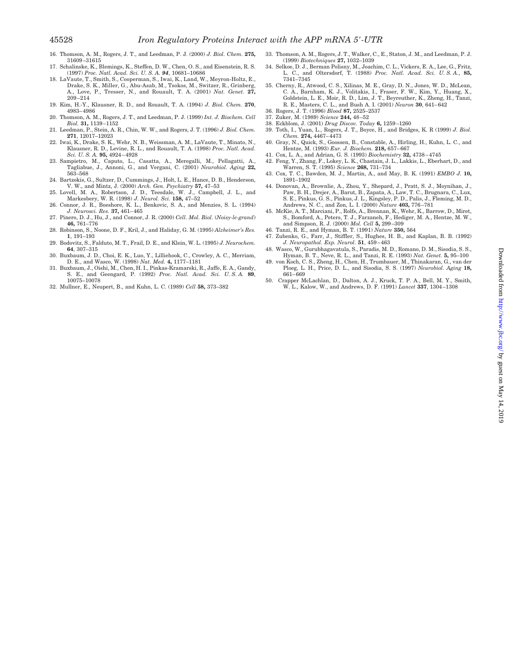- 16. Thomson, A. M., Rogers, J. T., and Leedman, P. J. (2000) *J. Biol. Chem.* **275,** 31609–31615
- 17. Schalinske, K., Blemings, K., Steffen, D. W., Chen, O. S., and Eisenstein, R. S. (1997) *Proc. Natl. Acad. Sci. U. S. A. 94*, 10681–10686
- 18. LaVaute, T., Smith, S., Cooperman, S., Iwai, K., Land, W., Meyron-Holtz, E., Drake, S. K., Miller, G., Abu-Asab, M., Tsokos, M., Switzer, R., Grinberg, A., Love, P., Tresser, N., and Rouault, T. A. (2001) *Nat. Genet.* **27,** 209–214
- 19. Kim, H.-Y., Klausner, R. D., and Rouault, T. A. (1994) *J. Biol. Chem.* **270**, 4983–4986
- 20. Thomson, A. M., Rogers, J. T., and Leedman, P. J. (1999) *Int. J. Biochem. Cell Biol.* **31,** 1139–1152
- 21. Leedman, P., Stein, A. R., Chin, W. W., and Rogers, J. T. (1996) *J. Biol. Chem.* **271**, 12017–12023
- 22. Iwai, K., Drake, S. K., Wehr, N. B., Weissman, A. M., LaVaute, T., Minato, N., Klausner, R. D., Levine, R. L., and Rouault, T. A. (1998) *Proc. Natl. Acad. Sci. U. S. A.* **95,** 4924–4928
- 23. Sampietro, M., Caputo, L., Casatta, A., Meregalli, M., Pellagatti, A., Tagliabue, J., Annoni, G., and Vergani, C. (2001) *Neurobiol. Aging* **22,** 563–568
- 24. Bartzokis, G., Sultzer, D., Cummings, J., Holt, L. E., Hance, D. B., Henderson, V. W., and Mintz, J. (2000) *Arch. Gen. Psychiatry* **57,** 47–53
- 25. Lovell, M. A., Robertson, J. D., Teesdale, W. J., Campbell, J. L., and Markesbery, W. R. (1998) *J. Neurol. Sci.* **158,** 47–52
- 26. Connor, J. R., Boeshore, K. L., Benkovic, S. A., and Menzies, S. L. (1994) *J. Neurosci. Res.* **37,** 461–465
- 27. Pinero, D. J., Hu, J., and Connor, J. R. (2000) *Cell. Mol. Biol.* (*Noisy-le-grand*) **46,** 761–776
- 28. Robinson, S., Noone, D. F., Kril, J., and Haliday, G. M. (1995) *Alzheimer's Res.* **1**, 191–193
- 29. Bodovitz, S., Falduto, M. T., Frail, D. E., and Klein, W. L. (1995) *J. Neurochem.* **64**, 307–315
- 30. Buxbaum, J. D., Choi, E. K., Luo, Y., Lilliehook, C., Crowley, A. C., Merriam, D. E., and Wasco, W. (1998) *Nat. Med.* **4,** 1177–1181
- 31. Buxbaum, J., Oishi, M., Chen, H. I., Pinkas-Kramarski, R., Jaffe, E. A., Gandy, S. E., and Geengard, P. (1992) *Proc. Natl. Acad. Sci. U. S. A.* **89**, 10075–10078
- 32. Mullner, E., Neupert, B., and Kuhn, L. C. (1989) *Cell* **58,** 373–382
- 33. Thomson, A. M., Rogers, J. T., Walker, C., E., Staton, J. M., and Leedman, P. J. (1999) *Biotechniques* **27,** 1032–1039
- 34. Selkoe, D. J., Berman Polisny, M., Joachim, C. L., Vickers, E. A., Lee, G., Fritz, L. C., and Oltersdorf. T. (1988) Proc. Natl. Acad. Sci. U. S. A., 85. L. C., and Oltersdorf, T. (1988) *Proc. Natl. Acad. Sci. U. S. A.*, **85,** 7341–7345
- 35. Cherny, R., Atwood, C. S., Xilinas, M. E., Gray, D. N., Jones, W. D., McLean, C. A., Barnham, K. J., Volitakis, I., Fraser, F. W., Kim, Y., Huang, X., Goldstein, L. E., Moir, R. D., Lim, J. T., Beyreuther, K., Zheng, H., Tanzi, R. E., Masters, C. L., and Bush A. I. (2001) *Neuron* **30**, 641–642
- 36. Rogers, J. T. (1996) *Blood* **87,** 2525–2537
- 37. Zuker, M. (1989) *Science* **244,** 48–52
- 38. Eckblom, J. (2001) *Drug Discov. Today* **6,** 1259–1260
- 39. Toth, I., Yuan, L., Rogers, J. T., Boyce, H., and Bridges, K. R (1999) *J. Biol. Chem.* **274,** 4467–4473
- 40. Gray, N., Quick, S., Goossen, B., Constable, A., Hirling, H., Kuhn, L. C., and Hentze, M. (1993) *Eur. J. Biochem.* **218,** 657–667
- 41. Cox, L. A., and Adrian, G. S. (1993) *Biochemistry* **32,** 4738–4745 42. Feng, Y., Zhang, F., Lokey, L. K., Chastain, J. L., Lakkis, L., Eberhart, D., and
- Warren, S. T. (1995) *Science* **268,** 731–734 43. Cox, T. C., Bawden, M. J., Martin, A., and May, B. K. (1991) *EMBO J.* **10,** 1891–1902
- 44. Donovan, A., Brownlie, A., Zhou, Y., Shepard, J., Pratt, S. J., Moynihan, J., Paw, B. H., Drejer, A., Barut, B., Zapata, A., Law, T. C., Brugnara, C., Lux, S. E., Pinkus, G. S., Pinkus, J. L., Kingsley, P. D., Palis, J., Fleming, M. D., Andrews, N. C., and Zon, L. I. (2000) *Nature* **403,** 776–781
- 45. McKie, A. T., Marciani, P., Rolfs, A., Brennan, K., Wehr, K., Barrow, D., Miret, S., Bomford, A., Peters, T. J., Farzaneh, F., Hediger, M. A., Hentze, M. W., and Simpson, R. J. (2000) *Mol. Cell* **5,** 299–309
- 46. Tanzi, R. E., and Hyman, B. T. (1991) *Nature* **350,** 564
- 47. Zubenko, G., Farr, J., Stiffler, S., Hughes, H. B., and Kaplan, B. B. (1992) *J. Neuropathol. Exp. Neurol.* **51**, 459–463
- 48. Wasco, W., Gurubhagavatula, S., Paradis, M. D., Romano, D. M., Sisodia, S. S., Hyman, B. T., Neve, R. L., and Tanzi, R. E. (1993) *Nat. Genet.* **5,** 95–100
- 49. von Koch, C. S., Zheng, H., Chen, H., Trumbauer, M., Thinakaran, G., van der Ploeg, L. H., Price, D. L., and Sisodia, S. S. (1997) *Neurobiol. Aging* **18,** 661–669
- 50. Crapper McLachlan, D., Dalton, A. J., Kruck, T. P. A., Bell, M. Y., Smith, W. L., Kalow, W., and Andrews, D. F. (1991) *Lancet* **337**, 1304–1308